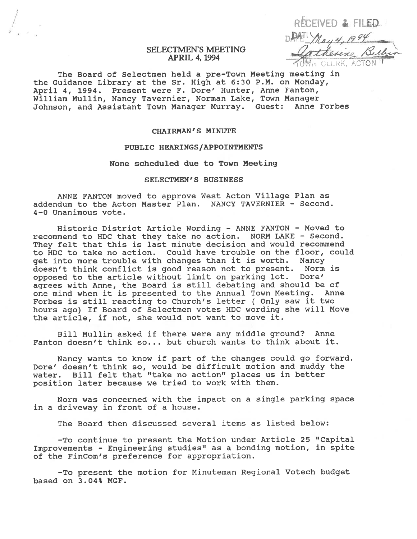RECEIVED & FILED DAN May 4, 1994

# SELECTMEN'S MEETING APRIL 4, 1994

The Board of Selectmen held <sup>a</sup> pre-Town Meeting meeting in the Guidance Library at the Sr. High at 6:30 P.M. on Monday, April 4, 1994. Present were F. Dare' Hunter, Anne Fanton, William Mullin, Nancy Tavernier, Norman Lake, Town Manager Johnson, and Assistant Town Manager Murray. Guest: Anne Forbes

# CHAIRMAN'S MINUTE

#### PUBLIC HEARINGS /APPOINTMENTS

None scheduled due to Town Meeting

### SELECTMEN'S BUSINESS

ANNE FANTON moved to approve West Acton Village Plan as addendum to the Acton Master Plan. NANCY TAVERNIER - Second. 4—0 Unanimous vote.

Historic District Article Wording - ANNE FANTON - Moved to recommend to HDC that they take no action. NORN LAKE — Second. They felt that this is last minute decision and would recommend to HDC to take no action. Could have trouble on the floor, could ge<sup>t</sup> into more trouble with changes than it is worth. Nancy doesn't think conflict is good reason not to present. Norm is opposed to the article without limit on parking lot. Dore' agrees with Anne, the Board is still debating and should be of one mind when it is presented to the Annual Town Meeting. Anne Forbes is still reacting to Church's letter ( Only saw it two hours ago) If Board of Selectmen votes HDC wording she will Move the article, if not, she would not want to move it.

Bill Mullin asked if there were any middle ground? Anne Fanton doesn't think so... but church wants to think about it.

Nancy wants to know if par<sup>t</sup> of the changes could go forward. Dore' doesn't think so, would be difficult motion and muddy the water. Bill felt that "take no action" places us in better position later because we tried to work with them.

Norm was concerned with the impact on <sup>a</sup> single parking space in <sup>a</sup> driveway in front of <sup>a</sup> house.

The Board then discussed several items as listed below:

-To continue to presen<sup>t</sup> the Motion under Article 25 "Capital Improvements — Engineering studies" as <sup>a</sup> bonding motion, in spite of the FinCom's preference for appropriation.

-To presen<sup>t</sup> the motion for Minuteman Regional Votech budget based on 3.04% MGF.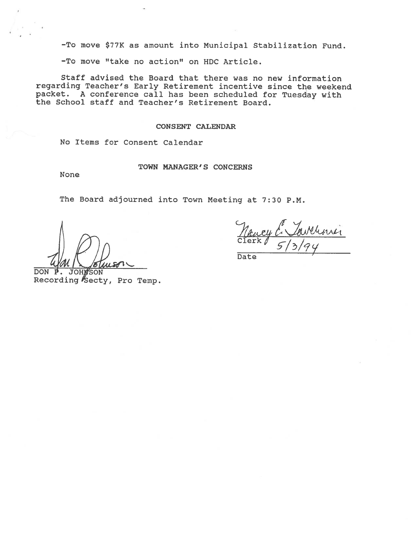-To move \$77K as amount into Municipal Stabilization Fund.

-To move "take no action" on HOC Article.

Staff advised the Board that there was no new information regarding Teacher's Early Retirement incentive since the weekend packet. <sup>A</sup> conference call has been scheduled for Tuesday with the School staff and Teacher's Retirement Board.

#### CONSENT CALENDAR

No Items for Consent Calendar

# TOWN MANAGER'S CONCERNS

None

The Board adjourned into Town Meeting at 7:30 P.M.

Savelini

Date

DON P. JOHNSON Recording Secty, Pro Temp.